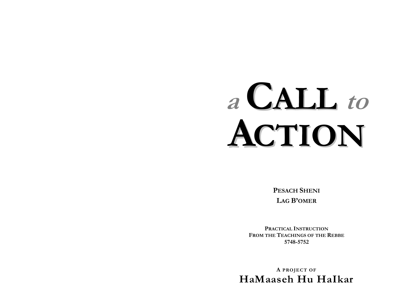# a CALL to CTION

**PESACH SHENI LAG B'OMER** 

PRACTICAL INSTRUCTION FROM THE TEACHINGS OF THE REBBE 5748-5752

A PROJECT OF HaMaaseh Hu Halkar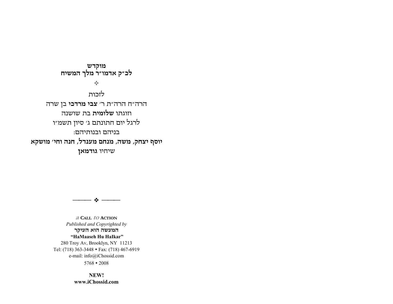**NEW!www.iChossid.com** 

המעשה הוא העיקר  **ìHaMaaseh Hu HaIkarî** 280 Troy Av, Brooklyn, NY 11213 Tel: (718) 363-3448 • Fax: (718) 467-6919 e-mail: info@iChossid.com  $5768 \cdot 2008$ 

. . .

**a CALL to ACTION***Published and Copyrighted by* 

לזכותהרה"ח!הרה"ת!ר' **צבי מרדכי**!בן!שרה וזוגתו!**שלומית**!בת!שושנהלרגל יום חתונתם ג׳ סיון תשמ״ו בניהם ובנותיהם: **יוסף&יצחק, משה, מנחם&מענדל, חנה&וחי' מושקא** שיחיו!**גודמאן**

**מוקדש לכ"ק&אדמו"ר&מלך&המשיח**

 $\Leftrightarrow$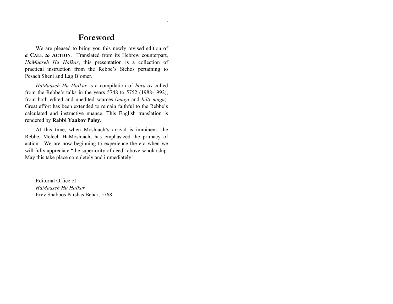# **Foreword**

We are pleased to bring you this newly revised edition of *a* **CALL** *to* **ACTION**. Translated from its Hebrew counterpart, *HaMaaseh Hu HaIkar*, this presentation is a collection of practical instruction from the Rebbe's Sichos pertaining to Pesach Sheni and Lag B'omer.

*HaMaaseh Hu HaIkar* is a compilation of *horaíos* culled from the Rebbe's talks in the years  $5748$  to  $5752$  (1988-1992), from both edited and unedited sources (*muga* and *bilti muga*). Great effort has been extended to remain faithful to the Rebbe's calculated and instructive nuance. This English translation is rendered by **Rabbi Yaakov Paley**.

At this time, when Moshiach's arrival is imminent, the Rebbe, Melech HaMoshiach, has emphasized the primacy of action. We are now beginning to experience the era when we will fully appreciate "the superiority of deed" above scholarship. May this take place completely and immediately!

Editorial Office of *HaMaaseh Hu HaIkar* Erev Shabbos Parshas Behar, 5768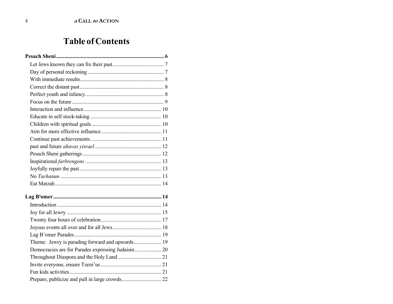# **Table of Contents**

| Democracies are for Parades expressing Judaism 20 |  |
|---------------------------------------------------|--|
|                                                   |  |
|                                                   |  |
|                                                   |  |
|                                                   |  |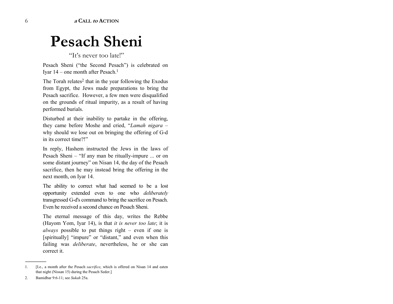# **Pesach Sheni**

"It's never too late!"

Pesach Sheni ("the Second Pesach") is celebrated on Iyar  $14$  – one month after Pesach.<sup>1</sup>

The Torah relates<sup>2</sup> that in the year following the Exodus from Egypt, the Jews made preparations to bring the Pesach sacrifice. However, a few men were disqualified on the grounds of ritual impurity, as a result of having performed burials.

Disturbed at their inability to partake in the offering, they came before Moshe and cried, "Lamah nigara – why should we lose out on bringing the offering of G-d in its correct time?!"

In reply, Hashem instructed the Jews in the laws of Pesach Sheni – "If any man be ritually-impure ... or on some distant journey" on Nisan 14, the day of the Pesach sacrifice, then he may instead bring the offering in the next month, on Iyar 14.

The ability to correct what had seemed to be a lost opportunity extended even to one who *deliberately*  transgressed G-d's command to bring the sacrifice on Pesach. Even he received a second chance on Pesach Sheni.

The eternal message of this day, writes the Rebbe (Hayom Yom, Iyar 14), is that *it is never too late*; it is *always* possible to put things right  $-$  even if one is [spiritually] "impure" or "distant," and even when this failing was *deliberate*, nevertheless, he or she can correct it.

------------------------------------------------

<sup>1. [</sup>I.e., a month after the Pesach *sacrifice*, which is offered on Nisan 14 and eaten that night (Nissan 15) during the Pesach Seder.]

<sup>2.</sup> Bamidbar 9:6-11; see *Sukah* 25a.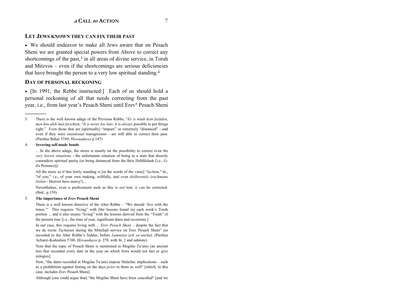#### **LET JEWS KNOWN THEY CAN FIX THEIR PAST**

• We should endeavor to make all Jews aware that on Pesach Sheni we are granted special powers from Above to correct any shortcomings of the past,<sup>3</sup> in all areas of divine service, in Torah and Mitzvos – even if the shortcomings are serious deficiencies that have brought the person to a very low spiritual standing.<sup>4</sup>

#### DAY OF PERSONAL RECKONING

• [In 1991, the Rebbe instructed:] Each of us should hold a personal reckoning of all that needs correcting from the past year, i.e., from last year's Pesach Sheni until Erev<sup>5</sup> Pesach Sheni

#### $\overline{4}$ . Severing self-made bonds

... In the above adage, the stress is mainly on the possibility to correct even the very lowest situations - the unfortunate situation of being in a state that directly contradicts spiritual purity (or being distanced from the Beis HaMikdash [i.e., Gd's Presence]).

All the more so if this lowly standing is [in the words of the verse] "lachem," lit., "of you," i.e., of your own making, willfully, and even deliberately (rachmana litzlan - Heaven have mercy!)...

Nevertheless, even a predicament such as this is not lost; it can be corrected.  $(Ibid., p.159)$ 

#### 5. The importance of *Erev* Pesach Sheni

There is a well known directive of the Alter Rebbe - "We should 'live with the times." This requires "living" with [the lessons found in] each week's Torah portion ... and it also means "living" with the lessons derived from the "Torah" of the present *time* [i.e., the time of year, significant dates and occasions.]

In our case, this requires living with ... Erev Pesach Sheni - despite the fact that we do recite *Tachanun* during the Minchah service on Erev Pesach Sheni" (as recorded in the Alter Rebbe's Siddur, before *Lamnatze'ach va'ancha*). (Parshas Acharei-Kedoshim 5748; Hisvaaduyos p. 278, with fn. 2 and subnote)

Note that the topic of Pesach Sheni is mentioned in Megilas Ta'anis [an ancient text that recorded every date in the year on which Jews would not fast or give eulogies].

Now, "the dates recorded in Megilas Ta'anis impose Halachic implications – such as a prohibition against fasting on the days *prior* to them as well" [which, in this case, includes Erev Pesach Sheni].

Although [one could argue that] "the Megilas Sheni have been cancelled" [and we

 $3.$ There is the well known adage of the Previous Rebbe, "Es is nitah kein farfalen, men ken aleh'mal farichten, "It is never too late; it is always possible to put things right." Even those that are [spiritually] "impure" or extremely "distanced" - and even if they were *intentional* transgressors - are still able to correct their past. (Parshas Behar 5749; Hisvaaduyos p.147)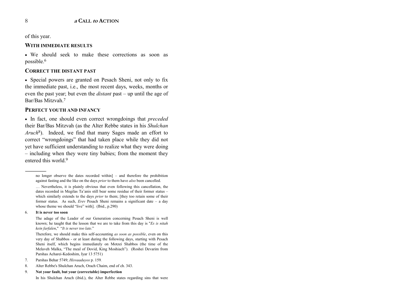of this year.

#### **WITH IMMEDIATE RESULTS**

• We should seek to make these corrections as soon as possible.6

#### **CORRECT THE DISTANT PAST**

• Special powers are granted on Pesach Sheni, not only to fix the immediate past, i.e., the most recent days, weeks, months or even the past year; but even the *distant* past – up until the age of Bar/Bas Mitzvah.7

#### **PERFECT YOUTH AND INFANCY**

• In fact, one should even correct wrongdoings that *preceded* their Bar/Bas Mitzvah (as the Alter Rebbe states in his *Shulchan Aruch*8). Indeed, we find that many Sages made an effort to correct "wrongdoings" that had taken place while they did not yet have sufficient understanding to realize what they were doing – including when they were tiny babies; from the moment they entered this world.<sup>9</sup>

#### 6. **It is never too soon**

------------------------------------------------

The adage of the Leader of our Generation concerning Pesach Sheni is well known; he taught that the lesson that we are to take from this day is "*Es is nitah kein farfalen*," "*It is never too late.*"

Therefore, we should make this self-accounting *as soon as possible*, even on this very day of Shabbos - or at least during the following days, starting with Pesach Sheni itself, which begins immediately on Motzei Shabbos (the time of the Melaveh Malka, "The meal of Dovid, King Moshiach"). (Roshei Devarim from Parshas Acharei-Kedoshim, Iyar 13 5751)

- 7. Parshas Behar 5749; *Hisvaaduyos* p. 159*.*
- 8. Alter Rebbe's Shulchan Aruch, Orach Chaim, end of ch. 343.

9. **Not your fault, but your (correctable) imperfection**

In his Shulchan Aruch (ibid.), the Alter Rebbe states regarding sins that were

no longer observe the dates recorded within]  $-$  and therefore the prohibition against fasting and the like on the days *prior* to them have *also* been cancelled.

 $\ldots$  Nevertheless, it is plainly obvious that even following this cancellation, the dates recorded in Megilas Ta'anis still bear some residue of their former status which similarly extends to the days *prior* to them; [they too retain some of their former status. As such, *Erev* Pesach Sheni remains a significant date  $-$  a day whose theme we should "live" with]. (Ibid., p.290)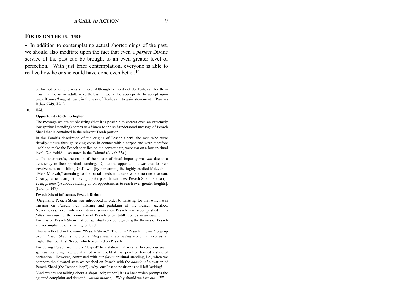#### **FOCUS ON THE FUTURE**

• In addition to contemplating actual shortcomings of the past, we should also meditate upon the fact that even a *perfect* Divine service of the past can be brought to an even greater level of perfection. With just brief contemplation, everyone is able to realize how he or she could have done even better.<sup>10</sup>

performed when one was a minor: Although he need not do Teshuvah for them now that he is an adult, nevertheless, it would be appropriate to accept upon oneself *something*, at least, in the way of Teshuvah, to gain atonement. (Parshas Behar 5749, ibid.)

#### 10. Ibid.

------------------------------------------------

#### **Opportunity to climb higher**

The message we are emphasizing (that it is possible to correct even an extremely low spiritual standing) comes *in addition* to the self-understood message of Pesach Sheni that is contained in the relevant Torah portion:

In the Torah's description of the origins of Pesach Sheni, the men who were ritually-impure through having come in contact with a corpse and were therefore unable to make the Pesach sacrifice on the correct date, were *not* on a low spiritual level, G-d forbid  $\ldots$  as stated in the Talmud (Sukah 25a.).

... In other words, the cause of their state of ritual impurity was *not* due to a deficiency in their spiritual standing. Quite the opposite! It was due to their involvement in fulfilling G-d's will [by performing the highly exalted Mitzvah of "Meis Mitzvah," attending to the burial needs in a case where no-one else can. Clearly, rather than just making up for past deficiencies, Pesach Sheni is also (or even, *primarily*) about catching up on opportunities to reach ever greater heights]. (Ibid., p. 147)

#### **Pesach Sheni influences Pesach Rishon**

[Originally, Pesach Sheni was introduced in order to *make up* for that which was missing on Pesach, i.e., offering and partaking of the Pesach sacrifice. Nevertheless,] even when our divine service on Pesach was accomplished in its *fullest* measure  $\ldots$  the Yom Tov of Pesach Sheni [still] comes as an *addition*  $\ldots$ For it is on Pesach Sheni that our spiritual service regarding the themes of Pesach are accomplished on a far higher level.

This is reflected in the name "Pesach Sheni:" The term "Pesach" means "to jump over"; Pesach *Sheni* is therefore a *dilug sheni*, <sup>a</sup>*second leap* - one that takes us far higher than our first "leap," which occurred on Pesach.

For during Pesach we merely "leaped" to a station that was far beyond our *prior* spiritual standing, i.e., we attained what could at that point be termed a state of perfection. However, contrasted with our *future* spiritual standing, i.e., when we compare the elevated state we reached on Pesach with the *additional* elevation of Pesach Sheni (the "second leap") - why, our Pesach position is still left lacking!

[And we are not talking about a *slight* lack; rather,] it is a lack which prompts the agitated complaint and demand, "lamah nigara," "Why should we lose out...?!"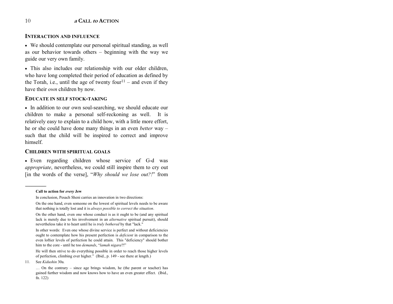#### **INTERACTION AND INFLUENCE**

• We should contemplate our personal spiritual standing, as well as our behavior towards others  $-$  beginning with the way we guide our very own family.

• This also includes our relationship with our older children, who have long completed their period of education as defined by the Torah, i.e., until the age of twenty four<sup>11</sup> – and even if they have their *own* children by now.

#### **EDUCATE IN SELF STOCK-TAKING**

• In addition to our own soul-searching, we should educate our children to make a personal self-reckoning as well. It is relatively easy to explain to a child how, with a little more effort, he or she could have done many things in an even *better* way – such that the child will be inspired to correct and improve himself.

#### **CHILDREN WITH SPIRITUAL GOALS**

• Even regarding children whose service of G-d was *appropriate*, nevertheless, we could still inspire them to cry out [in the words of the verse], "*Why should we lose out?!*" from

#### **Call to action for** *every* **Jew**

------------------------------------------------

He will then strive to do everything possible in order to reach those higher levels of perfection, climbing ever higher." (Ibid., p. 149 - see there at length.)

11. See *Kidushin* 30a.

In conclusion, Pesach Sheni carries an innovation in two directions:

On the one hand, even someone on the lowest of spiritual levels needs to be aware that nothing is totally lost and it is *always possible to correct the situation*.

On the other hand, even one whose conduct is as it ought to be (and any spiritual lack is merely due to his involvement in an *alternative* spiritual pursuit), should nevertheless take it to heart until he is *truly bothered* by that "lack."

In other words: Even one whose divine service is perfect and without deficiencies ought to contemplate how his present perfection is *deficient* in comparison to the even loftier levels of perfection he could attain. This "deficiency" should bother him to the core - until he too *demands*, "*lamah nigara*?!"

 $\ldots$  On the contrary – since age brings wisdom, he (the parent or teacher) has gained further wisdom and now knows how to have an even greater effect. (Ibid., fn. 122)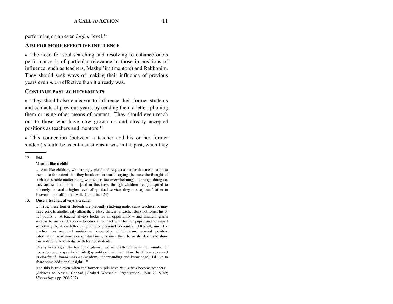performing on an even *higher* level.12

#### **AIM FOR MORE EFFECTIVE INFLUENCE**

• The need for soul-searching and resolving to enhance one's performance is of particular relevance to those in positions of influence, such as teachers, Mashpi'im (mentors) and Rabbonim. They should seek ways of making their influence of previous years even *more* effective than it already was.

#### **CONTINUE PAST ACHIEVEMENTS**

• They should also endeavor to influence their former students and contacts of previous years, by sending them a letter, phoning them or using other means of contact. They should even reach out to those who have now grown up and already accepted positions as teachers and mentors.13

• This connection (between a teacher and his or her former student) should be as enthusiastic as it was in the past, when they

12. Ibid.

#### **Mean it like a child**

 $\dots$  And like children, who strongly plead and request a matter that means a lot to them - to the extent that they break out in tearful crying (because the thought of such a desirable matter being withheld is too overwhelming). Through doing so, they arouse their father  $-$  [and in this case, through children being inspired to sincerely demand a higher level of spiritual service, they arouse] our "Father in Heaven"  $-$  to fulfill their will. (Ibid., fn. 124)

#### 13. **Once a teacher, always a teacher**

Ö True, these former students are presently studying under *other* teachers, or may have gone to another city altogether. Nevertheless, a teacher does not forget his or her pupils... A teacher always looks for an opportunity  $-$  and Hashem grants success to such endeavors  $-$  to come in contact with former pupils and to impart something, be it via letter, telephone or personal encounter. After all, since the teacher has acquired *additional* knowledge of Judaism, general positive information, wise words or spiritual insights since then, he or she desires to share this additional knowledge with former students.

 "Many years ago," the teacher explains, "we were afforded a limited number of hours to cover a specific (limited) quantity of material. Now that I have advanced in *chochmah*, *binah vedaías* (wisdom, understanding and knowledge), I'd like to share some additional insight..."

And this is true even when the former pupils have *themselves* become teachers... (Address to Neshei Chabad [Chabad Women's Organization], Iyar 23 5749; *Hisvaaduyos* pp. 206-207)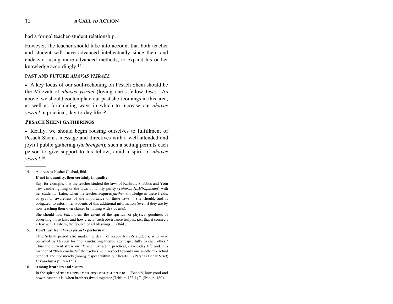had a formal teacher-student relationship.

However, the teacher should take into account that both teacher and student will have advanced intellectually since then, and endeavor, using more advanced methods, to expand his or her knowledge accordingly.14

#### **PAST AND FUTURE** *AHAVAS YISRAEL*

• A key focus of our soul-reckoning on Pesach Sheni should be the Mitzvah of *ahavas yisrael* (loving one's fellow Jew). As above, we should contemplate our past shortcomings in this area, as well as formulating ways in which to increase our *ahavas <sup>y</sup>israel* in practical, day-to-day life.15

#### **PESACH SHENI GATHERINGS**

• Ideally, we should begin rousing ourselves to fulfillment of Pesach Sheni's message and directives with a well-attended and joyful public gathering (*farbrengen*); such a setting permits each person to give support to his fellow, amid a spirit of *ahavas <sup>y</sup>israel.*<sup>16</sup>

------------------------------------------------

#### **If not in quantity, then certainly in quality**

Say, for example, that the teacher studied the laws of Kashrus, Shabbos and Yom Tov candle-lighting or the laws of family purity (*Taharas HaMishpachah*) with her students. Later, when the teacher acquires *further* knowledge in these fields, or *greater* awareness of the importance of these laws – she should, and is obligated, to inform her students of this additional information (even if they are by now teaching their own classes brimming with students).

She should now teach them the extent of the spiritual or physical goodness of observing those laws and how crucial such observance truly is, i.e., that it connects a Jew with Hashem, the Source of all blessings... (Ibid.)

#### 15. **Don't just feel** *ahavas yisrael* **- perform it**

[The Sefirah period also marks the death of Rabbi Avika's students, who were punished by Heaven for "not conducting themselves respectfully to each other." Thus the current stress on *ahavas yisrael*] in practical, day-to-day life and in a manner of "they *conducted* themselves with respect towards one another" - actual conduct and not merely *feeling* respect within our hearts... (Parshas Behar 5749; *Hisvaaduyos* p. 157-158)

#### 16. **Among brothers and sisters**

In the spirit of הנה מה טוב ומה נעים שבת אחים גם יחד "Behold, how good and how pleasant it is, when brothers dwell together (Tehilim 133:1)." (Ibid. p. 160)

<sup>14.</sup> Address to Neshei Chabad, ibid.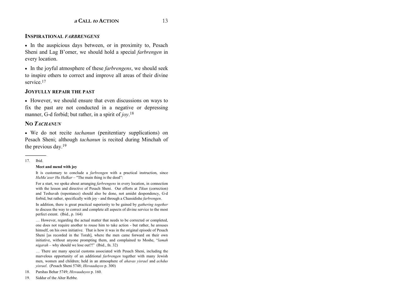#### **INSPIRATIONAL** *FARBRENGENS*

• In the auspicious days between, or in proximity to, Pesach Sheni and Lag B'omer, we should hold a special *farbrengen* in every location.

• In the joyful atmosphere of these *farbrengens*, we should seek to inspire others to correct and improve all areas of their divine service<sup>17</sup>

#### **JOYFULLY REPAIR THE PAST**

• However, we should ensure that even discussions on ways to fix the past are not conducted in a negative or depressing manner, G-d forbid; but rather, in a spirit of *joy*.<sup>18</sup>

#### **NO** *TACHANUN*

• We do not recite *tachanun* (penitentiary supplications) on Pesach Sheni; although *tachanun* is recited during Minchah of the previous day.19

#### 17. Ibid.

#### **Meet and mend with joy**

It is customary to conclude a *farbrengen* with a practical instruction, since *HaMa'aser Hu HaIkar* – "The main thing is the deed":

For a start, we spoke about arranging *farbrengens* in every location, in connection with the lesson and directive of Pesach Sheni. Our efforts at *Tikun* (correction) and Teshuvah (repentance) should also be done, not amidst despondency, G-d forbid, but rather, specifically with joy - and through a Chassidishe *farbrengen*.

In addition, there is great practical superiority to be gained by *gathering together* to discuss the way to correct and complete all aspects of divine service to the most perfect extent. (Ibid., p. 164)

 $\dots$  However, regarding the actual matter that needs to be corrected or completed, one does not require another to rouse him to take action - but rather, he arouses himself, on his own initiative. That is how it was in the original episode of Pesach Sheni [as recorded in the Torah], where the men came forward on their own initiative, without anyone prompting them, and complained to Moshe, *<sup><i>'lamah*</sup>  $nigarah$  – why should we lose out?!" (Ibid., fn. 32)

... There are many special customs associated with Pesach Sheni, including the marvelous opportunity of an additional *farbrengen* together with many Jewish men, women and children; held in an atmosphere of *ahavas yisrael* and *achdus yisrael*. (Pesach Sheni 5748; *Hisvaaduyos* p. 300)

- 18. Parshas Behar 5749; *Hisvaaduyos* p. 160.
- 19. Siddur of the Alter Rebbe.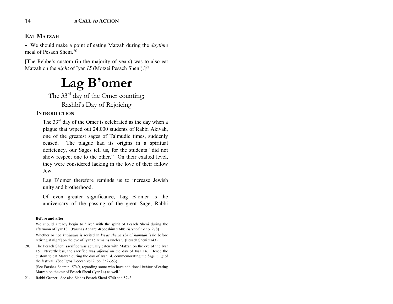# **EAT MATZAH**

• We should make a point of eating Matzah during the *daytime* meal of Pesach Sheni.20

[The Rebbe's custom (in the majority of years) was to also eat Matzah on the *night* of Iyar *15* (Motzei Pesach Sheni).]<sup>21</sup>

# **Lag B<sup>í</sup>omer**

The  $33<sup>rd</sup>$  day of the Omer counting;

Rashbi's Day of Rejoicing

# **INTRODUCTION**

The  $33<sup>rd</sup>$  day of the Omer is celebrated as the day when a plague that wiped out 24,000 students of Rabbi Akivah, one of the greatest sages of Talmudic times, suddenly ceased. The plague had its origins in a spiritual deficiency, our Sages tell us, for the students "did not show respect one to the other." On their exalted level, they were considered lacking in the love of their fellow Jew.

Lag B'omer therefore reminds us to increase Jewish unity and brotherhood.

Of even greater significance, Lag B'omer is the anniversary of the passing of the great Sage, Rabbi

------------------------------------------------

20. The Pesach Sheni sacrifice was actually eaten with Matzah on the eve of the Iyar 15. Nevertheless, the sacrifice was *offered* on the day of Iyar 14. Hence the custom to eat Matzah during the day of Iyar 14, commemorating the *beginning* of the festival. (See Igros Kodesh vol.2, pp. 352-353)

 [See Parshas Shemini 5740, regarding some who have additional *hiddur* of eating Matzah on the *eve* of Pesach Sheni (Iyar 14) as well.]

**Before and after** 

We should already begin to "live" with the spirit of Pesach Sheni during the afternoon of Iyar 13. (Parshas Acharei-Kedoshim 5748; *Hisvaaduyos* p. 278)

Whether or not *Tachanun* is recited in *kri'as shema she'al hamitah* [said before retiring at night] on the eve of Iyar 15 remains unclear. (Pesach Sheni 5743)

<sup>21</sup>. Rabbi Groner. See also Sichas Pesach Sheni 5740 and 5743.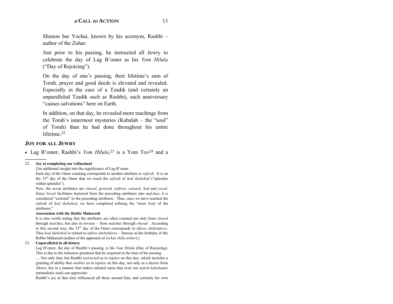Shimon bar Yochai, known by his acronym, Rashbi author of the Zohar.

Just prior to his passing, he instructed all Jewry to celebrate the day of Lag Bíomer as his *Yom Hilula* ("Day of Rejoicing").

On the day of one's passing, their lifetime's sum of Torah, prayer and good deeds is elevated and revealed. Especially in the case of a Tzadik (and certainly an unparalleled Tzadik such as Rashbi), each anniversary ìcauses salvationsî here on Earth.

In addition, on that day, he revealed more teachings from the Torah's innermost mysteries (Kabalah  $-$  the "soul" of Torah) than he had done throughout his entire lifetime.<sup>22</sup>

#### **JOY FOR ALL JEWRY**

------------------------------------------------

• Lag B'omer, Rashbi's *Yom Hilula*,<sup>23</sup> is a Yom Tov<sup>24</sup> and a

#### 22. **Joy at completing our refinement**

[An additional insight into the significance of Lag B'omer:

Each day of the Omer counting corresponds to another attribute or *sefirah*. It is on the 33<sup>rd</sup> day of the Omer that we reach the *sefirah* of *hod shebehod* ("splendor within splendor").

Now, the seven attributes are *chesed, gevurah, teiferes, netzach, hod* and *yesod*. Since *Yesod* facilitates bestowal from the preceding attributes into *malchus*, it is considered "external" to the preceding attributes. Thus, once we have reached the *sefirah* of *hod shebehod*, we have completed refining the *"main body* of the attributes."

#### **Association with the Rebbe Maharash**

It is also worth noting that the attributes are often counted not only from *chesed*  through *malchus*, but also in reverse – from *malchus* through *chesed*. According to this second way, the 33rd day of the Omer corresponds to *tiferes shebetiferes*. Thus *hod shebehod* is related to *tefires shebetiferes* – famous as the birthday of the Rebbe Maharash (author of the approach of *lechat'chila ariber*).]

#### 23. **Unparalleled in all history**

Lag B'omer, the day of Rashbi's passing, is his *Yom Hilula* (Day of Rejoicing). This is due to the immense greatness that he acquired at the time of his passing.

... Not only that, but Rashbi *instructed* us to rejoice on this day; which includes a granting of ability that *enables* us to rejoice on this day, not only as a decree from Above, but in a manner that makes rational sense that even our *nefesh habehamis*  (animalistic soul) can appreciate.

Rashbi's joy at that time influenced all those around him, and certainly his own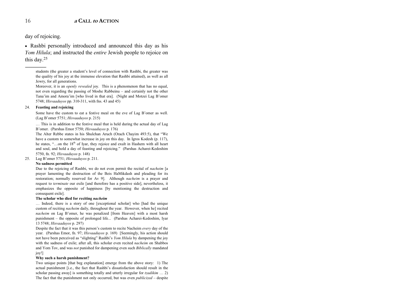day of rejoicing.

------------------------------------------------

• Rashbi personally introduced and announced this day as his *Yom Hilula*; and instructed the *entire* Jewish people to rejoice on this day.25

students (the greater a student's level of connection with Rashbi, the greater was the quality of his joy at the immense elevation that Rashbi attained), as well as all Jewry, for all generations.

Moreover, it is an *openly revealed* joy. This is a phenomenon that has no equal, not even regarding the passing of Moshe Rabbeinu – and certainly not the other Tana'im and Amora'im [who lived in that era]. (Night and Motzei Lag B'omer 5748; *Hisvaaduyos* pp. 310-311, with fns. 43 and 45)

#### 24. **Feasting and rejoicing**

Some have the custom to eat a festive meal on the eve of Lag B'omer as well. (Lag Bíomer 5751; *Hisvaaduyos* p. 215)

... This is in addition to the festive meal that is held during the actual day of Lag Bíomer. (Parshas Emor 5750; *Hisvaaduyos* p. 176)

The Alter Rebbe states in his Shulchan Aruch (Orach Chayim 493:5), that "We have a custom to somewhat increase in joy on this day. In Igros Kodesh (p. 117), he states,  $\ldots$ on the  $18<sup>th</sup>$  of Iyar, they rejoice and exult in Hashem with all heart and soul, and hold a day of feasting and rejoicing." (Parshas Acharei-Kedoshim 5750, fn. 92; *Hisvaaduyos* p. 148)

25. Lag Bíomer 5751; *Hisvaaduyos* p. 211.

#### **No sadness permitted**

Due to the rejoicing of Rashbi, we do not even permit the recital of *nacheim* [a prayer lamenting the destruction of the Beis HaMikdash and pleading for its restoration; normally reserved for Av 9]. Although *nacheim* is a prayer and request to *terminate* our exile [and therefore has a positive side], nevertheless, it emphasizes the opposite of happiness [by mentioning the destruction and consequent exile].

#### **The scholar who died for reciting** *nacheim*

... Indeed, there is a story of one [exceptional scholar] who [had the unique custom of reciting *nacheim* daily, throughout the year. However, when he] recited *nacheim* on Lag B'omer, he was penalized [from Heaven] with a most harsh punishment – the opposite of prolonged life... (Parshas Acharei-Kedoshim, Iyar 13 5748; *Hisvaaduyos* p. 297)

Despite the fact that it was this person's custom to recite Nacheim *every* day of the year. (Parshas Emor, fn. 97; *Hisvaaduyos* p. 169) [Seemingly, his action should not have been perceived as "slighting" Rashbi's *Yom Hilula* by dampening the joy with the sadness of exile; after all, this scholar even recited *nacheim* on Shabbos and Yom Tov, and was *not* punished for dampening even such *Biblically* mandated joy!]

#### **Why such a harsh punishment?**

Two unique points [that beg explanation] emerge from the above story: 1) The actual punishment [i.e., the fact that Rashbi's dissatisfaction should result in the scholar passing away] is something totally and utterly irregular for *tzadikim* ... 2) The fact that the punishment not only occurred, but was even *publicized* - despite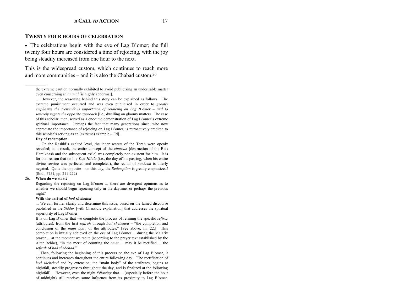#### **TWENTY FOUR HOURS OF CELEBRATION**

• The celebrations begin with the eve of Lag B'omer; the full twenty four hours are considered a time of rejoicing, with the joy being steadily increased from one hour to the next.

This is the widespread custom, which continues to reach more and more communities  $-$  and it is also the Chabad custom.<sup>26</sup>

#### **Day of redemption**

------------------------------------------------

... On the Rashbi's exalted level, the inner secrets of the Torah were openly revealed; as a result, the entire concept of the *churban* [destruction of the Beis Hamikdash and the subsequent exile] was completely non-existent for him. It is for that reason that on his *Yom Hilula* (i.e., the day of his passing, when his entire divine service was perfected and completed), the recital of *nacheim* is utterly negated. Quite the opposite – on this day, the *Redemption* is greatly emphasized! (Ibid., 5751, pp. 211-222)

#### 26. **When do we start?**

Regarding the rejoicing on Lag B'omer ... there are divergent opinions as to whether we should begin rejoicing only in the daytime, or perhaps the previous night?

#### **With the arrival of** *hod shebehod*

... We can further clarify and determine this issue, based on the famed discourse published in the *Siddur* [with Chassidic explanation] that addresses the spiritual superiority of Lag B'omer:

It is on Lag B'omer that we complete the process of refining the specific *sefiros* (attributes), from the first *sefirah* through *hod shebehod* – "the completion and conclusion of the *main body* of the attributes." [See above, fn. 22.] This completion is initially achieved on the *eve* of Lag B'omer ... during the Ma'ariv prayer ... at the moment we recite (according to the prayer text established by the Alter Rebbe), "In the merit of counting the *omer* ... may it be rectified ... the *sefirah* of *hod shebehod*.î

... Then, following the beginning of this process on the eve of Lag B'omer, it continues and increases throughout the entire following day. [The rectification of *hod shebehod* and by extension, the "main body" of the attributes, begins at nightfall, steadily progresses throughout the day, and is finalized at the following nightfall]. However, even the night *following* that ... (especially before the hour of midnight) still receives some influence from its proximity to Lag B'omer.

the extreme caution normally exhibited to avoid publicizing an undesirable matter even concerning an *animal* [is highly abnormal].

<sup>...</sup> However, the reasoning behind this story can be explained as follows: The extreme punishment occurred and was even publicized in order to *greatly emphasize the tremendous importance of rejoicing on Lag B'omer – and to severely negate the opposite approach* [i.e., dwelling on gloomy matters. The case of this scholar, then, served as a one-time demonstration of Lag B'omer's extreme spiritual importance. Perhaps the fact that many generations since, who now appreciate the importance of rejoicing on Lag B'omer, is retroactively credited to this scholar's serving as an (extreme) example  $-$  Ed].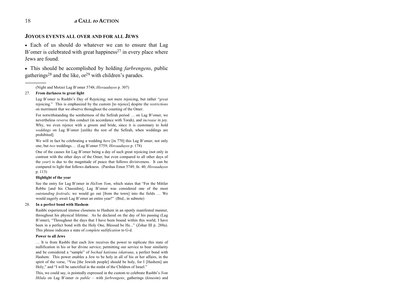#### **JOYOUS EVENTS ALL OVER AND FOR ALL JEWS**

• Each of us should do whatever we can to ensure that Lag B'omer is celebrated with great happiness<sup>27</sup> in every place where Jews are found

• This should be accomplished by holding *farbrengens*, public gatherings<sup>28</sup> and the like,  $\sigma^{29}$  with children's parades.

(Night and Motzei Lag B'omer 5748; Hisvaaduyos p. 307)

#### 27. From darkness to great light

Lag B'omer is Rashbi's Day of Rejoicing; not mere rejoicing, but rather "great" rejoicing." This is emphasized by the custom [to rejoice] despite the *restrictions* on merriment that we observe throughout the counting of the Omer.

For notwithstanding the somberness of the Sefirah period ... on Lag B'omer, we nevertheless *reverse* this conduct (in accordance with Torah), and *increase* in joy. Why, we even rejoice with a groom and bride, since it is customary to hold weddings on Lag B'omer [unlike the rest of the Sefirah, when weddings are prohibited].

We will in fact be celebrating a wedding *here* [in 770] this Lag B'omer; not only one, but two weddings... (Lag B'omer 5759; *Hisvaaduvos* p. 178)

One of the causes for Lag B'omer being a day of such great rejoicing (not only in contrast with the other days of the Omer, but even compared to all other days of the *year*) is due to the magnitude of peace that follows divisiveness. It can be compared to light that follows darkness. (Parshas Emor 5749, fn. 40; Hisvaaduyos p. 113)

#### **Highlight of the year**

See the entry for Lag B'omer in *HaYom Yom*, which states that "For the Mittler Rebbe [and his Chassidim], Lag B'omer was considered one of the most *outstanding festivals*; we would go out [from the town] into the fields ... We would eagerly await Lag B'omer an entire year!" (Ibid., in subnote)

#### 28. In a perfect bond with Hashem

Rashbi experienced intense closeness to Hashem in an openly manifested manner, throughout his physical lifetime. As he declared on the day of his passing (Lag B'omer), "Throughout the days that I have been bound within this world, I have been in a perfect bond with the Holy One, Blessed be He..." (Zohar III p. 288a). This phrase indicates a state of *complete nullification* to G-d.

#### **Power to all Jews**

... It is from Rashbi that each Jew receives the power to replicate this state of nullification in his or her divine service; permitting our service to bear similarity and be considered a "sample" of *bechad katirana iskatrana*, a perfect bond with Hashem. This power enables a Jew to be holy in all of his or her affairs, in the spirit of the verse, "You [the Jewish people] should be holy, for I [Hashem] am Holy," and "I will be sanctified in the midst of the Children of Israel."

This, we could say, is pointedly expressed in the custom to celebrate Rashbi's Yom Hilula on Lag B'omer in public - with farbrengens, gatherings (kinusim) and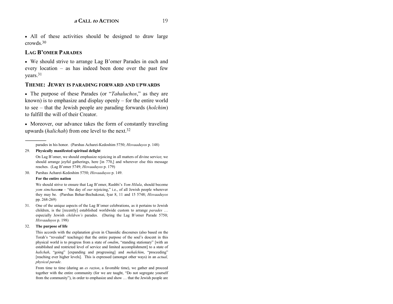• All of these activities should be designed to draw large crowds.30

# **LAG BíOMER PARADES**

• We should strive to arrange Lag B'omer Parades in each and every location  $-$  as has indeed been done over the past few years.<sup>31</sup>

#### **THEME: JEWRY IS PARADING FORWARD AND UPWARDS**

• The purpose of these Parades (or *'Tahaluchos*,' as they are known) is to emphasize and display openly  $-$  for the entire world to see – that the Jewish people are parading forwards (*holchim*) to fulfill the will of their Creator.

• Moreover, our advance takes the form of constantly traveling upwards (*halichah*) from one level to the next.32

#### 29. **Physically manifested spiritual delight**

On Lag B'omer, we should emphasize rejoicing in all matters of divine service; we should arrange joyful gatherings, here [in 770,] and wherever else this message reaches. (Lag B'omer 5749; *Hisvaaduvos* p. 179)

30. Parshas Acharei-Kedoshim 5750; *Hisvaaduyos* p. 149.

#### **For the entire nation**

We should strive to ensure that Lag B'omer, Rashbi's *Yom Hilula*, should become *yom simchasenu* – "the day of *our* rejoicing," i.e., of all Jewish people wherever they may be. (Parshas Behar-Bechukosai, Iyar 8, 11 and 15 5748; *Hisvaaduyos* pp. 268-269)

31. One of the unique aspects of the Lag B'omer celebrations, as it pertains to Jewish children, is the [recently] established worldwide custom to arrange *parades* ... especially Jewish *children's* parades. (During the Lag B'omer Parade 5750; *Hisvaaduyos* p. 198)

#### 32. **The purpose of life**

This accords with the explanation given in Chassidic discourses (also based on the Torah's "revealed" teachings) that the entire purpose of the soul's descent in this physical world is to progress from a state of *omdim*, "standing stationary" [with an established and restricted level of service and limited accomplishment] to a state of *halichah*, "going" [expanding and progressing] and *mehalchim*, "proceeding" [reaching ever higher levels]. This is expressed (amongst other ways) in an *actual, physical parade*.

From time to time (during an *es razton*, a favorable time), we gather and proceed together with the entire community (for we are taught, "Do not segregate yourself from the community"), in order to emphasize and show ... that the Jewish people are

parades in his honor. (Parshas Acharei-Kedoshim 5750; *Hisvaaduyos* p. 148)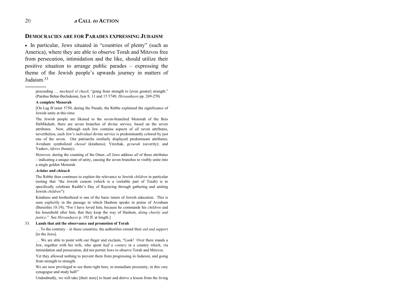#### **DEMOCRACIES ARE FOR PARADES EXPRESSING JUDAISM**

• In particular, Jews situated in "countries of plenty" (such as America), where they are able to observe Torah and Mitzvos free from persecution, intimidation and the like, should utilize their positive situation to arrange public parades – expressing the theme of the Jewish people's upwards journey in matters of Judaism  $33$ 

proceeding ... *mechavil el chavil*, "going from strength to [even greater] strength." (Parshas Behar-Bechukosai, Iyar 8, 11 and 15 5748; Hisvaaduyos pp. 269-270)

#### A complete Menorah

[On Lag B'omer 5750, during the Parade, the Rebbe explained the significance of Jewish unity at this time:

The Jewish people are likened to the seven-branched Menorah of the Beis HaMikdash; there are seven branches of divine service, based on the seven attributes. Now, although each Jew contains aspects of all seven attributes, nevertheless, each Jew's *individual* divine service is predominantly colored by just one of the seven. Our patriarchs similarly displayed predominant attributes; Avraham symbolized chesed (kindness); Yitzchak, gevurah (severity); and Yaakov, tiferes (beauty).

However, during the counting of the Omer, all Jews address all of these attributes - indicating a unique state of unity, causing the seven branches to visibly unite into a single golden Menorah.

#### **Achdus** and chinuch

The Rebbe then continues to explain the relevance to Jewish *children* in particular (noting that "the Jewish custom (which is a veritable part of Torah) is to specifically celebrate Rashbi's Day of Rejoicing through gathering and uniting Jewish *children*"):

Kindness and brotherhood is one of the basic tenets of Jewish education. This is seen explicitly in the passage in which Hashem speaks in praise of Avraham (Bereishis 18:19), "For I have loved him, because he commands his *children* and his household after him, that they keep the way of Hashem, *doing charity and justice.*" See *Hisvaaduvos* p. 192 ff. at length.]

#### 33. Lands that aid the observance and promotion of Torah

... To the contrary – in these countries, the authorities extend their *aid and support* [to the Jews].

... We are able to point with our finger and exclaim, "Look! Over there stands a Jew, together with his wife, who spent half a century in a country which, via intimidation and persecution, did not permit Jews to observe Torah and Mitzvos.

Yet they allowed nothing to prevent them from progressing in Judaism, and going from strength to strength.

We are now privileged to see them right here, in immediate proximity, in this very synagogue and study hall!"

Undoubtedly, we will take [their story] to heart and derive a lesson from the living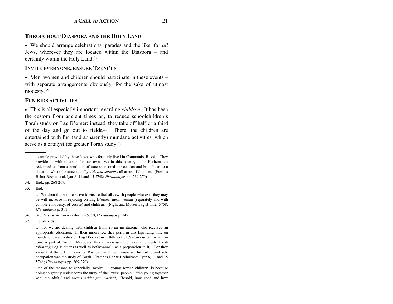# **THROUGHOUT DIASPORA AND THE HOLY LAND**

• We should arrange celebrations, parades and the like, for *all* Jews, wherever they are located within the Diaspora – and certainly within the Holy Land.34

#### **INVITE EVERYONE, ENSURE TZENI'US**

• Men, women and children should participate in these events – with separate arrangements obviously, for the sake of utmost modesty.35

#### **FUN KIDS ACTIVITIES**

• This is all especially important regarding *children*. It has been the custom from ancient times on, to reduce schoolchildren's Torah study on Lag B'omer; instead, they take off half or a third of the day and go out to fields. $36$  There, the children are entertained with fun (and apparently) mundane activities, which serve as a catalyst for greater Torah study.<sup>37</sup>

34. Ibid., pp. 268-269.

35. Ibid.

 $\dots$  We should therefore strive to ensure that all Jewish people wherever they may be will increase in rejoicing on Lag B'omer; men, woman (separately and with complete modesty, of course) and children. (Night and Motzei Lag B'omer 5758; *Hisvaaduyos* p. 311)

- 36. See Parshas Acharei-Kedoshim 5750; *Hisvaaduyos* p. 148.
- 37. **Torah kids**

One of the reasons to especially involve  $\ldots$  young Jewish children, is because doing so greatly underscores the unity of the Jewish people  $-$  "the young together with the adult," and *sheves achim gam yachad*, "Behold, how good and how

example provided by these Jews, who formerly lived in Communist Russia. They provide us with a lesson for our own lives in this country  $-$  for Hashem has redeemed us from a condition of state-sponsored persecution and brought us to a situation where the state actually *aids and supports* all areas of Judaism. (Parshas Behar-Bechukosai, Iyar 8, 11 and 15 5748; *Hisvaaduyos* pp. 269-270)

<sup>...</sup> For we are dealing with children from *Torah* institutions, who received an appropriate education. In their innocence, they perform this [spending time on mundane fun activities on Lag B'omer] in fulfillment of *Jewish* custom, which in turn, is part of *Torah*. Moreover, this all increases their desire to study Torah *following* Lag B'omer (as well as *beforehand* - as a preparation to it). For they know that the entire theme of Rashbi was *toraso umenaso*, his entire and sole occupation was the study of Torah. (Parshas Behar-Bechukosai, Iyar 8, 11 and 15 5748; *Hisvaaduyos* pp. 269-270)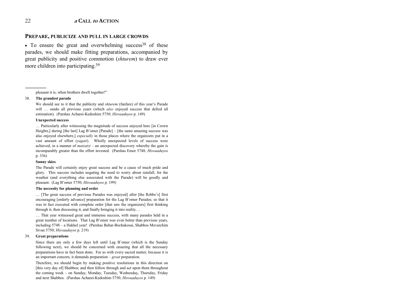#### PREPARE, PUBLICIZE AND PULL IN LARGE CROWDS

• To ensure the great and overwhelming success<sup>38</sup> of these parades, we should make fitting preparations, accompanied by great publicity and positive commotion *(shturem)* to draw ever more children into participating.<sup>39</sup>

pleasant it is, when brothers dwell together!"

#### 38. The grandest parade

We should see to it that the publicity and *shturem* (fanfare) of this year's Parade will ... outdo all previous years (which *also* enjoyed success that defied all estimation). (Parshas Acharei-Kedoshim 5750; Hisvaaduyos p. 149)

#### **Unexpected success**

... Particularly after witnessing the magnitude of success enjoyed here [in Crown Heights,] during [the last] Lag B'omer [Parade] – [the same amazing success was also enjoyed elsewhere, *especially* in those places where the organizers put in a vast amount of effort (yagati). Wholly unexpected levels of success were achieved, in a manner of  $matzatzi$  – an unexpected discovery whereby the gain is incomparably greater than the effort invested. (Parshas Emor 5748; Hisvaaduyos p. 336)

#### **Sunny skies**

The Parade will certainly enjoy great success and be a cause of much pride and glory. This success includes negating the need to worry about rainfall, for the weather (and everything else associated with the Parade) will be goodly and pleasant. (Lag B'omer 5750; Hisvaaduyos p. 199)

#### The necessity for planning and order

... [The great success of previous Parades was enjoyed] after [the Rebbe's] first encouraging [orderly advance] preparation for the Lag B'omer Parades; so that it was in fact executed with complete order [that saw the organizers] first thinking through it, then discussing it, and finally bringing it into reality...

... That year witnessed great and immense success, with many parades held in a great number of locations. That Lag B'omer was even better than previous years, including 5748 - a Hakhel year! (Parshas Behar-Bechukosai, Shabbos Mevarchim Sivan 5750; Hisvaaduyos p. 219)

#### 39 **Great preparations**

Since there are only a few days left until Lag B'omer (which is the Sunday following next), we should be concerned with ensuring that all the necessary preparations have in fact been done. For as with every sacred matter, because it is an important concern, it demands preparation  $-$  great preparation.

Therefore, we should begin by making positive resolutions in this direction on [this very day of] Shabbos; and then follow through and act upon them throughout the coming week - on Sunday, Monday, Tuesday, Wednesday, Thursday, Friday and next Shabbos. (Parshas Acharei-Kedoshim 5750; Hisvaaduyos p. 149)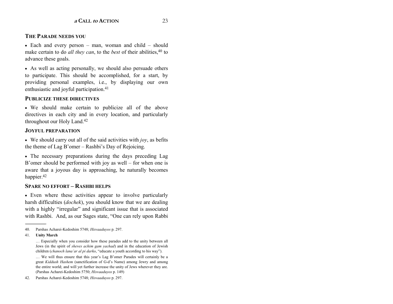# **THE PARADE NEEDS YOU**

• Each and every person  $-$  man, woman and child  $-$  should make certain to do *all they can*, to the *best* of their abilities,<sup>40</sup> to advance these goals.

• As well as acting personally, we should also persuade others to participate. This should be accomplished, for a start, by providing personal examples, i.e., by displaying our own enthusiastic and joyful participation.41

# **PUBLICIZE THESE DIRECTIVES**

• We should make certain to publicize all of the above directives in each city and in every location, and particularly throughout our Holy Land.42

# **JOYFUL PREPARATION**

• We should carry out all of the said activities with *joy*, as befits the theme of Lag B'omer  $-$  Rashbi's Day of Rejoicing.

• The necessary preparations during the days preceding Lag B'omer should be performed with joy as well  $-$  for when one is aware that a joyous day is approaching, he naturally becomes happier.<sup>42</sup>

### **SPARE NO EFFORT ñ RASHBI HELPS**

• Even where these activities appear to involve particularly harsh difficulties (*dochek*), you should know that we are dealing with a highly "irregular" and significant issue that is associated with Rashbi. And, as our Sages state, "One can rely upon Rabbi

... We will thus ensure that this year's Lag B'omer Parades will certainly be a great *Kiddush Hashem* (sanctification of G-d's Name) among Jewry and among the entire world; and will yet further increase the unity of Jews wherever they are. (Parshas Acharei-Kedoshim 5750; *Hisvaaduyos* p. 149)

42. Parshas Acharei-Kedoshim 5748; *Hisvaaduyos* p. 297.

<sup>40.</sup> Parshas Acharei-Kedoshim 5748; *Hisvaaduyos* p. 297.

<sup>41.</sup> **Unity March**

<sup>...</sup> Especially when you consider how these parades add to the unity between all Jews (in the spirit of *sheves achim gam yachad*) and in the education of Jewish children (*chanoch lana'ar al pi darko*, "educate a youth according to his way").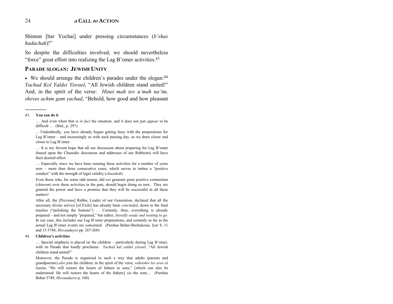Shimon [bar Yochai] under pressing circumstances (*b* shas *hadachak*)!"

So despite the difficulties involved, we should nevertheless "force" great effort into realizing the Lag B'omer activities. $43$ 

#### **PARADE SLOGAN: JEWISH UNITY**

• We should arrange the children's parades under the slogan:<sup>44</sup> *Yachad Kol Yaldei Yisrael*, "All Jewish children stand united!" And, in the spirit of the verse: *Hinei mah tov u'mah na'im*, *sheves achim gam yachad*, "Behold, how good and how pleasant

#### 43. **You can do it**

------------------------------------------------

Ö And even when that is *in fact* the situation, and it does not just *appear* to be difficult ... (Ibid., p. 297)

 ... Undoubtedly, you have already begun getting busy with the preparations for Lag B'omer  $-$  and increasingly so with each passing day, as we draw closer and closer to Lag B'omer.

... It is my fervent hope that all our discussion about preparing for Lag B'omer (based upon the Chassidic discourses and addresses of our Rebbeim) will have their desired effect.

... Especially since we have been running these activities for a number of years now  $-$  more than three consecutive years, which serves to imbue a "positive" conduct" with the strength of legal validity (*chazakah*).

Even those who, for some odd reason, did *not* generate great positive commotion (*shturem*) over these activities in the past, should begin doing so now. They are granted the power and have a promise that they will be successful in all these matters!

After all, the [Previous] Rebbe, Leader of our Generation, declared that all the necessary divine service [of Exile] has already been *concluded*, down to the final touches ("polishing the buttons") ... Certainly, then, everything is already prepared – and not simply "prepared," but rather, *literally ready and waiting to go*. In our case, this includes our Lag B'omer preparations, and certainly as far as the actual Lag Bíomer events are concerned. (Parshas Behar-Bechukosai, Iyar 8, 11 and 15 5748; *Hisvaaduyos* pp. 267-268)

#### 44. **Childrenís activities**

 $\ldots$  Special emphasis is placed on the children – particularly during Lag B'omer, with its Parade that loudly proclaims: *Yachad kal yaldei yisrael*, "All Jewish children stand united!"

Moreover, the Parade is organized in such a way that adults (parents and grandparents) *also* join the children; in the spirit of the verse, *veheishiv lev avos al banim*, "He will restore the hearts of fathers to sons," [which can also be understood: He will restore the hearts of the fathers] *via* the sons... (Parshas Behar 5749; *Hisvaaduyos* p. 160)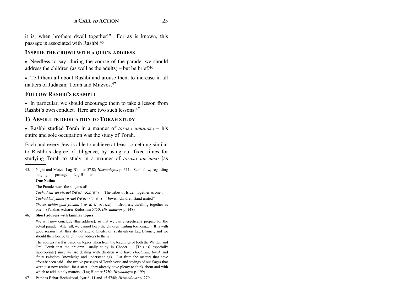it is, when brothers dwell together!" For as is known, this passage is associated with Rashbi.45

#### **INSPIRE THE CROWD WITH A QUICK ADDRESS**

• Needless to say, during the course of the parade, we should address the children (as well as the adults) – but be brief. $46$ 

• Tell them all about Rashbi and arouse them to increase in all matters of Judaism; Torah and Mitzvos.<sup>47</sup>

### **FOLLOW RASHBI'S EXAMPLE**

• In particular, we should encourage them to take a lesson from Rashbi's own conduct. Here are two such lessons: 47

#### **1) ABSOLUTE DEDICATION TO TORAH STUDY**

• Rashbi studied Torah in a manner of *toraso umanaso* – his entire and sole occupation was the study of Torah.

Each and every Jew is able to achieve at least something similar to Rashbi's degree of diligence, by using our fixed times for studying Torah to study in a manner of *toraso umínaso* [as

45. Night and Motzei Lag Bíomer 5758; *Hisvaaduyos* p. 311. See below, regarding singing this passage on Lag B'omer.

#### **One Nation**

The Parade bears the slogans of:

*Yachad shivtei yisrael* (יחד שבטי ישראל) – "The tribes of Israel, together as one"; *Yachad kal yaldei yisrael* (ישראל ילדי יחד (ñ ìJewish children stand unitedî;

*Sheves achim gam yachad* (שבת אחים גם <sup>(</sup>Brothers, dwelling together as one.î (Parshas Acharei-Kedoshim 5750; *Hisvaaduyos* p. 148)

#### 46. **Short address with familiar topics**

We will now conclude [this address], so that we can energetically prepare for the actual parade. After all, we cannot keep the children waiting too long... [It is with good reason that] they do not attend Cheder or Yeshivah on Lag B'omer, and we should therefore be brief in our address to them.

The address itself is based on topics taken from the teachings of both the Written and Oral Torah that the children usually study in Cheder ... [This is] especially [appropriate] since we are dealing with children who have *chochmah*, *binah* and *daías* (wisdom, knowledge and understanding). Just from the matters that have *already* been said – the twelve passages of Torah verse and sayings of our Sages that were just now recited, for a start  $-$  they already have plenty to think about and with which to add in holy matters. (Lag B'omer 5750; *Hisvaaduyos* p. 199)

47. Parshas Behar-Bechukosai, Iyar 8, 11 and 15 5748; *Hisvaaduyos* p. 270.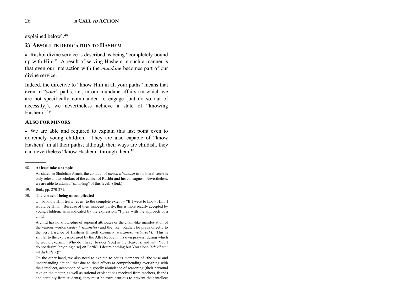explained below].48

# **2) ABSOLUTE DEDICATION TO HASHEM**

• Rashbi divine service is described as being "completely bound up with Him." A result of serving Hashem in such a manner is that even our interaction with the *mundane* becomes part of our divine service.

Indeed, the directive to "know Him in all your paths" means that even in "*your*" paths, i.e., in our mundane affairs (in which we are not specifically commanded to engage [but do so out of necessity]), we nevertheless achieve a state of "knowing Hashem<sup>"49</sup>

#### **ALSO FOR MINORS**

• We are able and required to explain this last point even to extremely young children. They are also capable of "know" Hashem" in all their paths; although their ways are childish, they can nevertheless "know Hashem" through them.<sup>50</sup>

#### 48. **At least take a sample**

------------------------------------------------

49. Ibid., pp. 270-271.

#### 50. **The virtue of being uncomplicated**

 $\ldots$  To know Him truly, [even] to the complete extent – "If I were to know Him, I would be Him." Because of their innocent purity, this is more readily accepted by young children; as is indicated by the expression, "I pray with the approach of a child."

A child has no knowledge of supernal attributes or the chain-like manifestation of the various worlds (*seder histalshelus*) and the like. Rather, he prays directly to the very Essence of Hashem Himself (*mehuso veíatzmuso yisbarech*). This is similar to the expression used by the Alter Rebbe in his own prayers, during which he would exclaim, "Who do I have [besides You] in the Heavens; and with You I do not desire [anything else] on Earth? I desire nothing but You alone (*ich vil mer*   $n$ *it dich alein*)!"

On the other hand, we also need to explain to adults members of "the wise and understanding nation" that due to their efforts at comprehending everything with their intellect, accompanied with a goodly abundance of reasoning (their personal take on the matter, as well as rational explanations received from teachers, friends and certainly from students), they must be extra cautious to prevent their intellect

As stated in Shulchan Aruch, the conduct of *toraso uímanaso* in its literal sense is only relevant to scholars of the caliber of Rashbi and his colleagues. Nevertheless, we are able to attain a "sampling" of this level. (Ibid.)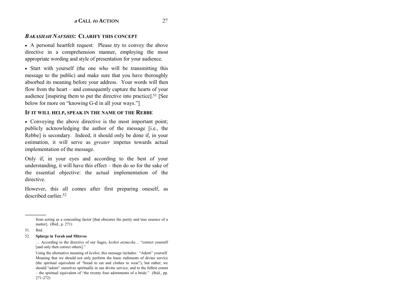#### *BAKASHAH NAFSHIS***: CLARIFY THIS CONCEPT**

• A personal heartfelt request: Please try to convey the above directive in a comprehension manner, employing the most appropriate wording and style of presentation for your audience.

• Start with yourself (the one who will be transmitting this message to the public) and make sure that you have thoroughly absorbed its meaning before your address. Your words will then flow from the heart  $-$  and consequently capture the hearts of your audience [inspiring them to put the directive into practice].51 [See below for more on "knowing G-d in all your ways."

#### **IF IT WILL HELP, SPEAK IN THE NAME OF THE REBBE**

• Conveying the above directive is the most important point; publicly acknowledging the author of the message [i.e., the Rebbe] is secondary. Indeed, it should only be done if, in your estimation, it will serve as *greater* impetus towards actual implementation of the message.

Only if, in your eyes and according to the best of your understanding, it will have this effect  $-$  then do so for the sake of the essential objective: the actual implementation of the directive.

However, this all comes after first preparing oneself, as described earlier<sup>52</sup>

#### 52. **Splurge in Torah and Mitzvos**

from acting as a concealing factor [that obscures the purity and true essence of a matter]. (Ibid., p. 271)

<sup>51.</sup> Ibid.

<sup>...</sup> According to the directive of our Sages, *keshot atzmecha*... "correct yourself [and only then correct others]."

Using the alternative meaning of *keshot*, this message includes: "Adorn" yourself. Meaning that we should not only perform the basic rudiments of divine service (the spiritual equivalent of "bread to eat and clothes to wear"), but rather, we should "adorn" ourselves spiritually in our divine service; and to the fullest extent  $h$  the spiritual equivalent of "the twenty four adornments of a bride." (Ibid., pp. 271-272)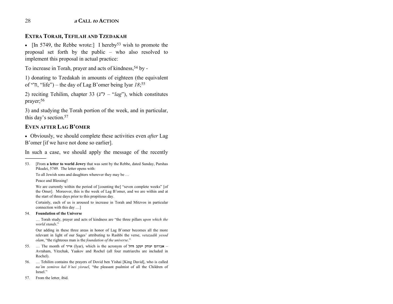#### **EXTRA TORAH, TEFILAH AND TZEDAKAH**

• [In 5749, the Rebbe wrote:] I hereby<sup>53</sup> wish to promote the proposal set forth by the public  $-$  who also resolved to implement this proposal in actual practice:

To increase in Torah, prayer and acts of kindness, 54 by -

1) donating to Tzedakah in amounts of eighteen (the equivalent of  $\lceil$ <sup>n</sup>, "life") – the day of Lag B'omer being Iyar *18*;<sup>55</sup>

2) reciting Tehilim, chapter 33  $(\lambda^{\prime\prime})$  – " $lag$ "), which constitutes prayer;<sup>56</sup>

3) and studying the Torah portion of the week, and in particular, this day's section.<sup>57</sup>

#### EVEN AFTER LAG B'OMER

• Obviously, we should complete these activities even *after* Lag B'omer [if we have not done so earlier].

In such a case, we should apply the message of the recently

53. [From **a letter to world Jewry** that was sent by the Rebbe, dated Sunday, Parshas Pikudei, 5749. The letter opens with:

To all Jewish sons and daughters wherever they may be ...

Peace and Blessing!

We are currently within the period of [counting the] "seven complete weeks" [of the Omer]. Moreover, this is the week of Lag B'omer, and we are within and at the start of three days prior to this propitious day.

Certainly, each of us is aroused to increase in Torah and Mitzvos in particular connection with this day  $\dots$ ]

54. **Foundation of the Universe**

... Torah study, prayer and acts of kindness are "the three pillars *upon which the* world stands."

Our adding in these three areas in honor of Lag B'omer becomes all the more relevant in light of our Sages' attributing to Rashbi the verse, *vetazadik yesod olam*, "the righteous man is the *foundation of the universe*."

- 55. Ö The month of אייר) Iyar), which is the acronym of חל**<sup>Ø</sup>** עקב **«**צחק **«**ברהם**<sup>á</sup>** <sup>ñ</sup> Avraham, Yitzchak, Yaakov and Rochel (all four matriarchs are included in Rochel).
- 56. ... Tehilim contains the prayers of Dovid ben Yishai [King David], who is called na'im zemiros kal b'nei yisrael, "the pleasant psalmist of all the Children of Israel."
- 57. From the letter, ibid.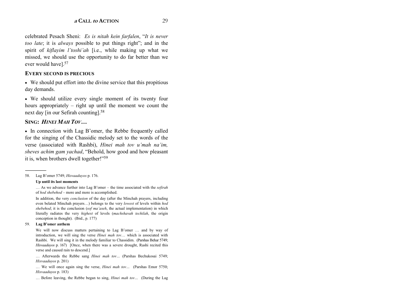celebrated Pesach Sheni: *Es is nitah kein farfalen*, "It is never *too late*; it is *always* possible to put things right"; and in the spirit of *kiflayim l'toshi'ah* [i.e., while making up what we missed, we should use the opportunity to do far better than we ever would have].57

#### **EVERY SECOND IS PRECIOUS**

• We should put effort into the divine service that this propitious day demands.

• We should utilize every single moment of its twenty four hours appropriately  $-$  right up until the moment we count the next day [in our Sefirah counting].58

#### SING: *Hinei Mah Tov*…

• In connection with Lag B'omer, the Rebbe frequently called for the singing of the Chassidic melody set to the words of the verse (associated with Rashbi), *Hinei mah tov u'mah na'im*, *sheves achim gam vachad*, "Behold, how good and how pleasant it is, when brothers dwell together!"<sup>59</sup>

58. Lag Bíomer 5749; *Hisvaaduyos* p. 176.

#### **Up until its last moments**

 $\ldots$  As we advance further into Lag B'omer – the time associated with the *sefirah* of *hod shebehod* – more and more is accomplished.

In addition, the very *conclusion* of the day (after the Minchah prayers, including even belated Minchah prayers...) belongs to the very *lowest* of levels within *hod shebehod*; it is the conclusion (*sof maíaseh*, the actual implementation) in which literally radiates the very *highest* of levels (*machshavah techilah*, the origin conception in thought). (Ibid., p. 177)

#### 59. **Lag Bíomer anthem**

We will now discuss matters pertaining to Lag B'omer ... and by way of introduction, we will sing the verse *Hinei mah tov*... which is associated with Rashbi. We will sing it in the melody familiar to Chassidim. (Parshas Behar 5749; *Hisvaaduyos* p. 167) [Once, when there was a severe drought, Rashi recited this verse and caused rain to descend.]

... Afterwards the Rebbe sang *Hinei mah tov...* (Parshas Bechukosai 5749; *Hisvaaduyos* p. 201)

... We will once again sing the verse, *Hinei mah tov...* (Parshas Emor 5750; *Hisvaaduyos* p. 183)

... Before leaving, the Rebbe began to sing, *Hinei mah tov...* (During the Lag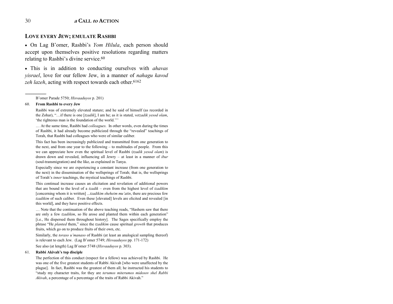#### **LOVE EVERY JEW; EMULATE RASHBI**

• On Lag B'omer, Rashbi's Yom Hilula, each person should accept upon themselves positive resolutions regarding matters relating to Rashbi's divine service.<sup>60</sup>

• This is in addition to conducting ourselves with *ahavas* visrael, love for our fellow Jew, in a manner of nahagu kavod zeh lazeh, acting with respect towards each other.<sup>6162</sup>

B'omer Parade 5750; Hisvaaduyos p. 201)

#### 60. From Rashbi to every Jew

Rashbi was of extremely elevated stature; and he said of himself (as recorded in the Zohar), "...if there is one [tzadik], I am he; as it is stated, vetzadik yesod olam, 'the righteous man is the foundation of the world.'''

... At the same time, Rashbi had colleagues. In other words, even during the times of Rashbi, it had already become publicized through the "revealed" teachings of Torah, that Rashbi had colleagues who were of similar caliber.

This fact has been increasingly publicized and transmitted from one generation to the next, and from one year to the following – to multitudes of people. From this we can appreciate how even the spiritual level of Rashbi (tzadik vesod olam) is drawn down and revealed, influencing all Jewry  $-$  at least in a manner of *ibur* (soul-transmigration) and the like, as explained in Tanya.

Especially since we are experiencing a constant increase (from one generation to the next) in the dissemination of the wellsprings of Torah; that is, the wellsprings of Torah's inner teachings, the mystical teachings of Rashbi.

This continual increase causes an elicitation and revelation of additional powers that are bound to the level of a tzadik - even from the highest level of tzadikim [concerning whom it is written] ...tzadikim sheheim mu'atin, there are precious few tzadikim of such caliber. Even these [elevated] levels are elicited and revealed [in this world], and they have positive effects.

... Note that the continuation of the above teaching reads, "Hashem saw that there are only a few *tzadikim*, so He arose and planted them within each generation" [i.e., He dispersed them throughout history]. The Sages specifically employ the phrase "He planted them," since the tzadikim cause spiritual growth that produces fruits, which go on to produce fruits of their own, etc.

Similarly, the toraso u'manaso of Rashbi (at least an analogical sampling thereof) is relevant to each Jew. (Lag B'omer 5749; Hisvaaduyos pp. 171-172)

See also (at length) Lag B'omer 5748 (Hisvaaduyos p. 303).

#### 61. Rabbi Akivah's top disciple

The perfection of this conduct (respect for a fellow) was achieved by Rashbi. He was one of the five greatest students of Rabbi Akivah [who were unaffected by the plague]. In fact, Rashbi was the greatest of them all; he instructed his students to "study my character traits, for they are terumos miterumos midosov shel Rabbi Akivah, a percentage of a percentage of the traits of Rabbi Akivah."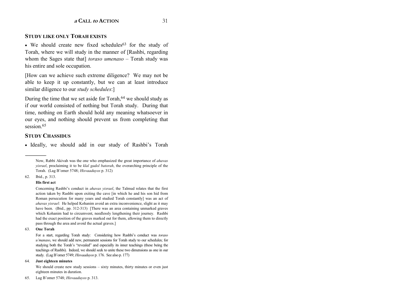#### **STUDY LIKE ONLY TORAH EXISTS**

• We should create new fixed schedules<sup>63</sup> for the study of Torah, where we will study in the manner of [Rashbi, regarding whom the Sages state that] *toraso umenaso* – Torah study was his entire and sole occupation.

[How can we achieve such extreme diligence? We may not be able to keep it up constantly, but we can at least introduce similar diligence to our *study schedules*:]

During the time that we set aside for  $T$ orah,  $64$  we should study as if our world consisted of nothing but Torah study. During that time, nothing on Earth should hold any meaning whatsoever in our eyes, and nothing should prevent us from completing that session.<sup>65</sup>

#### **STUDY CHASSIDUS**

• Ideally, we should add in our study of Rashbi's Torah

62. Ibid., p. 313.

#### **His first act**

Concerning Rashbi's conduct in *ahavas yisrael*, the Talmud relates that the first action taken by Rashbi upon exiting the cave [in which he and his son hid from Roman persecution for many years and studied Torah constantly] was an act of *ahavas yisrael*: He helped Kohanim avoid an extra inconvenience, slight as it may have been. (Ibid., pp. 312-313) [There was an area containing unmarked graves which Kohanim had to circumvent, needlessly lengthening their journey. Rashbi had the exact position of the graves marked out for them, allowing them to directly pass through the area and avoid the actual graves.]

#### 63. **One Torah**

For a start, regarding Torah study: Considering how Rashbi's conduct was *toraso <sup>u</sup>ímanaso*, we should add new, permanent sessions for Torah study to our schedules; for studying both the Torah's "revealed" and especially its inner teachings (these being the teachings of Rashbi). Indeed, we should seek to unite these two dimensions as one in our study. (Lag B'omer 5749; *Hisvaaduyos* p. 176. See also p. 177)

#### 64. **Just eighteen minutes**

We should create new study sessions  $-$  sixty minutes, thirty minutes or even just eighteen minutes in duration.

65. Lag Bíomer 5748; *Hisvaaduyos* p. 313.

Now, Rabbi Akivah was the one who emphasized the great importance of *ahavas yisrael*, proclaiming it to be *klal gadol batorah*, the overarching principle of the Torah. (Lag Bíomer 5748; *Hisvaaduyos* p. 312)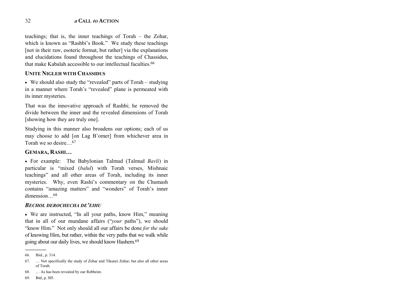teachings; that is, the inner teachings of Torah – the Zohar, which is known as "Rashbi's Book." We study these teachings [not in their raw, esoteric format, but rather] via the explanations and elucidations found throughout the teachings of Chassidus, that make Kabalah accessible to our intellectual faculties 66

## **UNITE NIGLEH WITH CHASSIDUS**

• We should also study the "revealed" parts of Torah - studying in a manner where Torah's "revealed" plane is permeated with its inner mysteries.

That was the innovative approach of Rashbi; he removed the divide between the inner and the revealed dimensions of Torah [showing how they are truly one].

Studying in this manner also broadens our options; each of us may choose to add [on Lag B'omer] from whichever area in Torah we so desire...<sup>67</sup>

# GEMARA, RASHI...

• For example: The Babylonian Talmud (Talmud Bavli) in particular is "mixed (balul) with Torah verses, Mishnaic teachings" and all other areas of Torah, including its inner mysteries. Why, even Rashi's commentary on the Chumash contains "amazing matters" and "wonders" of Torah's inner  $dimension<sup>68</sup>$ 

### **BECHOL DEROCHECHA DE'EIHU**

• We are instructed, "In all your paths, know Him," meaning that in all of our mundane affairs ("your paths"), we should "know Him." Not only should all our affairs be done for the sake of knowing Him, but rather, within the very paths that we walk while going about our daily lives, we should know Hashem.<sup>69</sup>

<sup>66.</sup> Ibid., p. 314.

<sup>67.</sup> ... Not specifically the study of Zohar and Tikunei Zohar; but also all other areas of Torah.

<sup>68.</sup> ... As has been revealed by our Rebbeim.

<sup>69.</sup> Ibid., p. 305.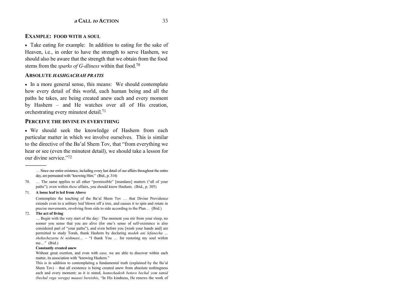#### **EXAMPLE: FOOD WITH A SOUL**

• Take eating for example: In addition to eating for the sake of Heaven, i.e., in order to have the strength to serve Hashem, we should also be aware that the strength that we obtain from the food stems from the *sparks of G-dliness* within that food.70

#### **ABSOLUTE** *HASHGACHAH PRATIS*

• In a more general sense, this means: We should contemplate how every detail of this world, each human being and all the paths he takes, are being created anew each and every moment by Hashem  $-$  and He watches over all of His creation, orchestrating every minutest detail.71

#### **PERCEIVE THE DIVINE IN EVERYTHING**

• We should seek the knowledge of Hashem from each particular matter in which we involve ourselves. This is similar to the directive of the Ba'al Shem Tov, that "from everything we hear or see (even the minutest detail), we should take a lesson for our divine service."72

#### 71. **A loose leaf is led from Above**

Contemplate the teaching of the Ba'al Shem Tov ... that Divine Providence extends even to a solitary leaf blown off a tree, and causes it to spin and rotate in precise movements, revolving from side to side according to the Plan... (Ibid.)

#### 72. **The act of living**

------------------------------------------------

... Begin with the very start of the day: The moment you stir from your sleep, no sooner you sense that you are alive (for one's sense of self-existence is also considered part of "your paths"), and even before you [wash your hands and] are permitted to study Torah, thank Hashem by declaring *modeh ani lefanecha* ... *shehechezarta bi nishmasi* ... – "I thank You ... for restoring my soul within me..." (Ibid.)

#### **Constantly created anew**

Without great exertion, and even with *ease*, we are able to discover within each matter, its association with "knowing Hashem."

This is in addition to contemplating a fundamental truth (explained by the Ba'al Shem Tov)  $-$  that all existence is being created anew from absolute nothingness each and every moment; as it is stated, *hamechadesh betuvo bechal yom tamid (bechal rega verega) maasei bereishis*, "In His kindness, He renews the work of

 $\ldots$  Since our entire existence, including every last detail of our affairs throughout the entire day, are permeated with  $\ell$  frowing Him." (Ibid., p. 314)

<sup>70. ...</sup> The same applies to all other "permissible" [mundane] matters ("all of your pathsî); even within *these* affairs, you should know Hashem. (Ibid., p. 305)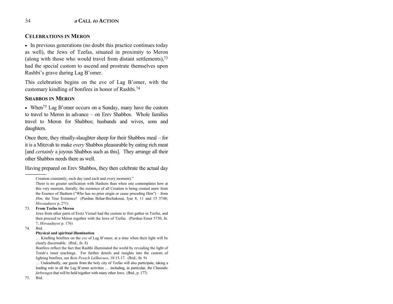## **CELEBRATIONS IN MERON**

• In previous generations (no doubt this practice continues today as well), the Jews of Tzefas, situated in proximity to Meron (along with those who would travel from distant settlements), $73$ had the special custom to ascend and prostrate themselves upon Rashbi's grave during Lag B'omer.

This celebration begins on the eve of Lag B'omer, with the customary kindling of bonfires in honor of Rashbi.74

#### **SHABBOS IN MERON**

• When<sup>75</sup> Lag B'omer occurs on a Sunday, many have the custom to travel to Meron in advance  $-$  on Erev Shabbos. Whole families travel to Meron for Shabbos; husbands and wives, sons and daughters.

Once there, they ritually-slaughter sheep for their Shabbos meal  $-$  for it is a Mitzvah to make *every* Shabbos pleasurable by eating rich meat [and *certainly* a joyous Shabbos such as this]. They arrange all their other Shabbos needs there as well.

Having prepared on Erev Shabbos, they then celebrate the actual day

Jews from other parts of Eretz Yisrael had the custom to first gather in Tzefas, and then proceed to Meron together with the Jews of Tzefas. (Parshas Emor 5750, fn. 7; *Hisvaaduyos* p. 176)

74. Ibid.

------------------------------------------------

#### **Physical and spiritual illumination**

... Kindling bonfires on the *eve* of Lag B'omer, at a time when their light will be clearly discernable. (Ibid., fn. 8)

Bonfires reflect the fact that Rashbi illuminated the world by revealing the light of Torah's inner teachings. For further details and insights into the custom of lighting bonfires, see *Bein Pesach LaShavuos*, 18:15-17. (Ibid., fn. 9)

... Undoubtedly, our guests from the holy city of Tzefas will also participate, taking a leading role in all the Lag B'omer activities  $\ldots$  including, in particular, the Chassidic *farbrengen* that will be held together with many other Jews. (Ibid., p. 177)

75. Ibid.

Creation constantly, each day (and each and every moment).<sup>n</sup>

There is no greater unification with Hashem than when one contemplates how at this very moment, literally, the existence of all Creation is being created anew from the Essence of Hashem ("Who has no prior origin or cause preceding  $\text{Him}$ ") – from *Him*, the True Existence! (Parshas Behar-Bechukosai, Iyar 8, 11 and 15 5748; *Hisvaaduyos* p. 271)

<sup>73.</sup> **From Tzefas to Meron**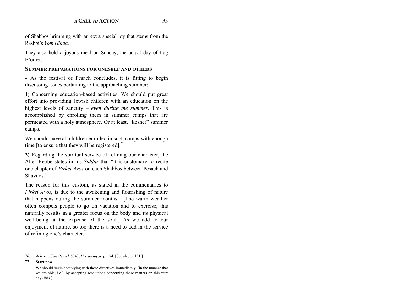of Shabbos brimming with an extra special joy that stems from the Rashbi's *Yom Hilula*.

They also hold a joyous meal on Sunday, the actual day of Lag Bíomer.

#### **SUMMER PREPARATIONS FOR ONESELF AND OTHERS**

• As the festival of Pesach concludes, it is fitting to begin discussing issues pertaining to the approaching summer:

**1)** Concerning education-based activities: We should put great effort into providing Jewish children with an education on the highest levels of sanctity  $-even$  *during the summer*. This is accomplished by enrolling them in summer camps that are permeated with a holy atmosphere. Or at least, "kosher" summer camps.

We should have all children enrolled in such camps with enough time [to ensure that they will be registered].<sup>76</sup>

**2)** Regarding the spiritual service of refining our character, the Alter Rebbe states in his *Siddur* that "it is customary to recite one chapter of *Pirkei Avos* on each Shabbos between Pesach and Shavuos."

The reason for this custom, as stated in the commentaries to *Pirkei Avos*, is due to the awakening and flourishing of nature that happens during the summer months. [The warm weather often compels people to go on vacation and to exercise, this naturally results in a greater focus on the body and its physical well-being at the expense of the soul.] As we add to our enjoyment of nature, so too there is a need to add in the service of refining one's character. $\sqrt{7}$ 

77. **Start now**

<sup>76.</sup> *Acharon Shel Pesach* 5748; *Hisvaaduyos*, p. 174. [See also p. 151.]

We should begin complying with these directives immediately, [in the manner that we are able; i.e.], by accepting resolutions concerning these matters on this very day (*ibid*.).